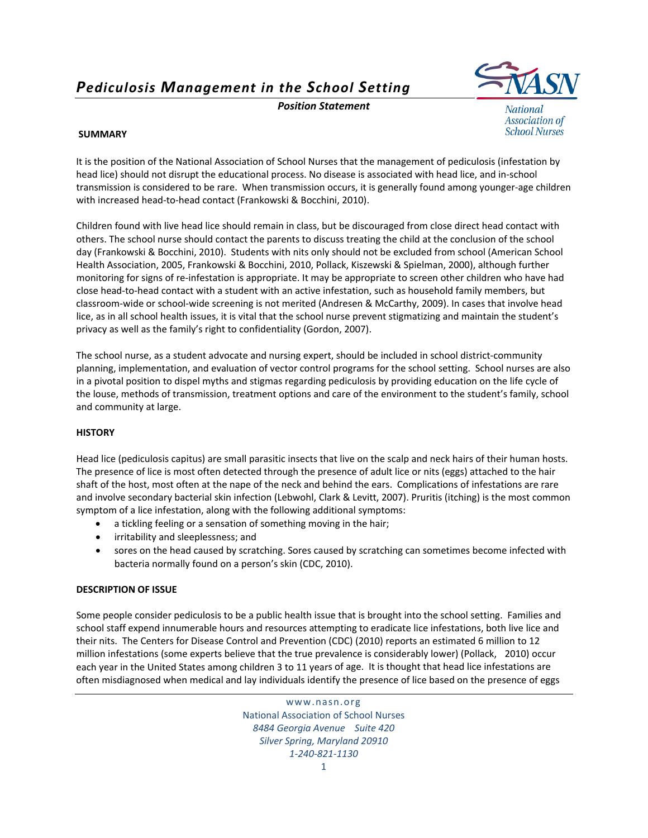*Pediculosis Management in the School Setting*

*Position Statement*



National **Association of School Nurses** 

## **SUMMARY**

It is the position of the National Association of School Nurses that the management of pediculosis (infestation by head lice) should not disrupt the educational process. No disease is associated with head lice, and in‐school transmission is considered to be rare. When transmission occurs, it is generally found among younger‐age children with increased head‐to‐head contact (Frankowski & Bocchini, 2010).

Children found with live head lice should remain in class, but be discouraged from close direct head contact with others. The school nurse should contact the parents to discuss treating the child at the conclusion of the school day (Frankowski & Bocchini, 2010). Students with nits only should not be excluded from school (American School Health Association, 2005, Frankowski & Bocchini, 2010, Pollack, Kiszewski & Spielman, 2000), although further monitoring for signs of re‐infestation is appropriate. It may be appropriate to screen other children who have had close head‐to‐head contact with a student with an active infestation, such as household family members, but classroom‐wide or school‐wide screening is not merited (Andresen & McCarthy, 2009). In cases that involve head lice, as in all school health issues, it is vital that the school nurse prevent stigmatizing and maintain the student's privacy as well as the family's right to confidentiality (Gordon, 2007).

The school nurse, as a student advocate and nursing expert, should be included in school district-community planning, implementation, and evaluation of vector control programs for the school setting. School nurses are also in a pivotal position to dispel myths and stigmas regarding pediculosis by providing education on the life cycle of the louse, methods of transmission, treatment options and care of the environment to the student's family, school and community at large.

### **HISTORY**

Head lice (pediculosis capitus) are small parasitic insects that live on the scalp and neck hairs of their human hosts. The presence of lice is most often detected through the presence of adult lice or nits (eggs) attached to the hair shaft of the host, most often at the nape of the neck and behind the ears. Complications of infestations are rare and involve secondary bacterial skin infection (Lebwohl, Clark & Levitt, 2007). Pruritis (itching) is the most common symptom of a lice infestation, along with the following additional symptoms:

- a tickling feeling or a sensation of something moving in the hair;
- irritability and sleeplessness; and
- sores on the head caused by scratching. Sores caused by scratching can sometimes become infected with bacteria normally found on a person's skin (CDC, 2010).

# **DESCRIPTION OF ISSUE**

Some people consider pediculosis to be a public health issue that is brought into the school setting. Families and school staff expend innumerable hours and resources attempting to eradicate lice infestations, both live lice and their nits. The Centers for Disease Control and Prevention (CDC) (2010) reports an estimated 6 million to 12 million infestations (some experts believe that the true prevalence is considerably lower) (Pollack, 2010) occur each year in the United States among children 3 to 11 years of age. It is thought that head lice infestations are often misdiagnosed when medical and lay individuals identify the presence of lice based on the presence of eggs

> www.nasn.org National Association of School Nurses *8484 Georgia Avenue Suite 420 Silver Spring, Maryland 20910 1‐240‐821‐1130*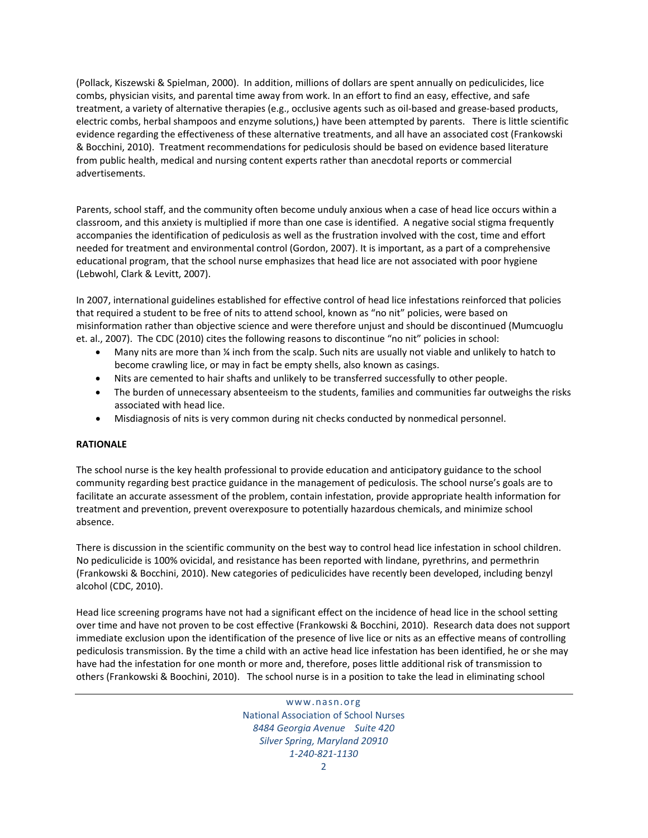(Pollack, Kiszewski & Spielman, 2000). In addition, millions of dollars are spent annually on pediculicides, lice combs, physician visits, and parental time away from work. In an effort to find an easy, effective, and safe treatment, a variety of alternative therapies (e.g., occlusive agents such as oil‐based and grease‐based products, electric combs, herbal shampoos and enzyme solutions,) have been attempted by parents. There is little scientific evidence regarding the effectiveness of these alternative treatments, and all have an associated cost (Frankowski & Bocchini, 2010). Treatment recommendations for pediculosis should be based on evidence based literature from public health, medical and nursing content experts rather than anecdotal reports or commercial advertisements.

Parents, school staff, and the community often become unduly anxious when a case of head lice occurs within a classroom, and this anxiety is multiplied if more than one case is identified. A negative social stigma frequently accompanies the identification of pediculosis as well as the frustration involved with the cost, time and effort needed for treatment and environmental control (Gordon, 2007). It is important, as a part of a comprehensive educational program, that the school nurse emphasizes that head lice are not associated with poor hygiene (Lebwohl, Clark & Levitt, 2007).

In 2007, international guidelines established for effective control of head lice infestations reinforced that policies that required a student to be free of nits to attend school, known as "no nit" policies, were based on misinformation rather than objective science and were therefore unjust and should be discontinued (Mumcuoglu et. al., 2007). The CDC (2010) cites the following reasons to discontinue "no nit" policies in school:

- Many nits are more than *X* inch from the scalp. Such nits are usually not viable and unlikely to hatch to become crawling lice, or may in fact be empty shells, also known as casings.
- Nits are cemented to hair shafts and unlikely to be transferred successfully to other people.
- The burden of unnecessary absenteeism to the students, families and communities far outweighs the risks associated with head lice.
- Misdiagnosis of nits is very common during nit checks conducted by nonmedical personnel.

### **RATIONALE**

The school nurse is the key health professional to provide education and anticipatory guidance to the school community regarding best practice guidance in the management of pediculosis. The school nurse's goals are to facilitate an accurate assessment of the problem, contain infestation, provide appropriate health information for treatment and prevention, prevent overexposure to potentially hazardous chemicals, and minimize school absence.

There is discussion in the scientific community on the best way to control head lice infestation in school children. No pediculicide is 100% ovicidal, and resistance has been reported with lindane, pyrethrins, and permethrin (Frankowski & Bocchini, 2010). New categories of pediculicides have recently been developed, including benzyl alcohol (CDC, 2010).

Head lice screening programs have not had a significant effect on the incidence of head lice in the school setting over time and have not proven to be cost effective (Frankowski & Bocchini, 2010). Research data does not support immediate exclusion upon the identification of the presence of live lice or nits as an effective means of controlling pediculosis transmission. By the time a child with an active head lice infestation has been identified, he or she may have had the infestation for one month or more and, therefore, poses little additional risk of transmission to others (Frankowski & Boochini, 2010). The school nurse is in a position to take the lead in eliminating school

> www.nasn.org National Association of School Nurses *8484 Georgia Avenue Suite 420 Silver Spring, Maryland 20910 1‐240‐821‐1130*